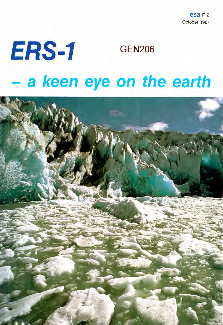esa F12 October 1987

### *ERS-1* GEN206 - a *keen eye on the earth*

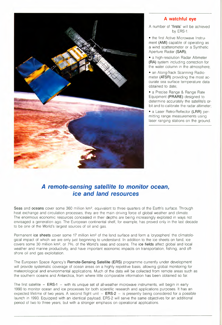

### **A watchful eye**

A number of **'firsts'** will be achieved by ERS-1:

• the first Active Microwave Instrument **(AMI}** capable of operating as a wind scatterometer or a Synthetic Aperture Radar **(SAR);**

• a high-resolution Radar Altimeter **(RA)** system including correction for the water column in the atmosphere;

• an Along-Track Scanning Radiometer **(ATSR)** providing the most accurate sea surface temperature data obtained to date;

• a Precise Range & Range Rate Equipment **(PRARE)** designed to determine accurately the satellite's orbit and to calibrate the radar altimeter;

• a Laser Retro-Reflector **(LRR)** permitting range measurements using laser ranging stations on the ground.

### *A remote-sensing satellite to monitor* **ocean,** *ice and land resources*

**Seas** and **oceans** cover some 360 million km2, equivalent to three quarters of the Earth's surface. Through heat exchange and circulation processes, they are the main driving force of global weather and climate. The enormous economic resources concealed in their depths are being increasingly exploited in ways not envisaged a generation ago. The European continental shelt, for example, has proved only in the last decade to be one of the World's largest sources of oil and gas.

Permanent **ice sheets** cover some 17 million km2 of the land surface and form a 'cryosphere' the climatological impact of which we are only just beginning to understand. In addition to the ice sheets on land, ice covers some 30 million km<sup>2</sup>, or 7%, of the World's seas and oceans. The ice fields affect global and local weather and marine productivity, and have important economic impacts on transportation, fishing, and offshore oil and gas exploitation.

The European Space Agency's **Remote-Sensing Satelli1e (ERS)** programme currently under development will provide systematic coverage of ocean areas on a hiqhly repetitive basis, allowing global monitoring for meteorological and environmental applications. Much of the data will be collected from remote areas such as the southern oceans and Antarctica, from where little comparable information has been obtained so far.

The first satellite - **ERS-1 -** with its unique set of all-weather microwave instruments, will begin in early 1990 to monitor ocean and ice processes for both scientific research and applications purposes. It has an expected lifetime of two years. A second flight unit - **ERS-2** - is presently being considered for a possible launch in 1993. Equipped with an identical payload, ERS-2 will serve the same objectives for an additional period of two to three years, but with a stronger emphasis on operational applications.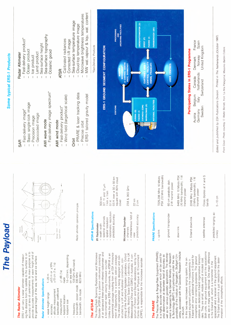

Front Cover: Photo courtesy © Walter Bonatti, from 'La Mia Patagonia', Massimo Baldini Editore.

S-band down-link

 $\bar{\mathbb{F}}$ 

down-link

 $\bar{1}$ 

- up-link

 $\bar{1}$ 

- satellite antennae

curacy

| ne | ERS-1 will carry a radar altimeter capable of measuring the distance from the satellite to the surface to an accuracy of tens of centimetres. Its main purpose is to provide accurate measurements of wave height and of<br>surface.<br>sea, land and ice<br><b>Altimeter</b><br>the general height of the<br>Radar<br><b>The</b> | <b>Specifications</b><br>Radar Altimeter | depending<br>13.8 GHz (Ku-band)<br>330 MHz<br>82.5 MHz<br>$\pm 10\%$<br>$\binom{S}{1}$<br>$\pm 0.5$ m or $\pm 1$<br>$\pm 10$ cm (1 $\sigma$ ,<br>state<br>$1.6 - 2.0$ km,<br>$(40)$ GP 1+<br>$-20$ m<br>sea<br>nadir<br>n<br>S<br>$\frac{1}{1}$<br>ocean mode<br>backscatter coefficient<br>altitude measurement<br>mode<br>wave height range<br>footprint location<br>footprint size<br>lee<br>measurement<br>bandwidth, o<br>trequency<br>accuracy | and<br>Scanning Radiometer and Microwave<br><b>Announce-</b><br>The initaidd by a UK and Australian concomers. Oxford structed by a UK and Australian concomers. Oxford sisting of the Putherford Space Science Laboratory, the UK<br>the<br>ATSR-M is an<br>Sounder (ATSR-M) is a passive instrument consisting<br>of an advanced three-channel infrared radiometer ar<br>a two-channel nadir viewing microwave sounder.<br>add-on package.<br>French and Danish laboratories, led by th<br>Recherche en Physique de l'Environment<br>event of Opportunity for a scientific add-on package.<br>The infrared radiometer is being designed and constructed by a UK and Australian consortium, con-<br>the microwave sounder.<br>experimental package resulting from an ESA<br>Unlike the other ERS-1 instruments, the<br>Centre de Hecnerure en .<br>(CRPE), is responsible for<br>The Along-Track Scar<br>Sounder (ATSR-M) is<br>ATSR-M<br>sortium of<br>ment of<br>The | PRARE<br>The | They are small, mobile units of modest cost.<br>units, the ground equipment and the spaceborne<br>are in many parts identical. One major difference<br>ity of the Institute of Navigation, Stuttgart Uni-<br>associated with the Geodetic Research Institute<br>The Precise Range & Range Rate Equipment (PRARE)<br>is a highly accurate instrument which will be used for<br>orbit determination at decimeter level of accuracy as<br>applications. The develop-<br>the German Ministry of Research<br>X-band with some additional functions in S-band for<br>ionospheric error correcting purposes. The ground<br>stations are dedicated X-band regenerative transpon-<br>$\overline{5}$<br>ment is financed by the German Ministry of Researc<br>& Technology (BMFT) and performed under the responsibility of the Institute of Navigation, Stuttgart Un<br>ground equipment.<br>spacecraft and a receiver in the ground equipmen<br>The S-band down-link is just needed for the deter-<br>mination of the ionospheric effects.<br>In this two-way microwave ranging system, the on-<br>board equipment performs the measurements in<br>S-band unit, which is a transmitter in the<br>as for various geodetic<br>in Munich.<br>versity,<br>is the<br>ders.<br>Both<br>orbit<br>one,<br>well<br>$\overline{\omega}$ |
|----|-----------------------------------------------------------------------------------------------------------------------------------------------------------------------------------------------------------------------------------------------------------------------------------------------------------------------------------|------------------------------------------|------------------------------------------------------------------------------------------------------------------------------------------------------------------------------------------------------------------------------------------------------------------------------------------------------------------------------------------------------------------------------------------------------------------------------------------------------|-------------------------------------------------------------------------------------------------------------------------------------------------------------------------------------------------------------------------------------------------------------------------------------------------------------------------------------------------------------------------------------------------------------------------------------------------------------------------------------------------------------------------------------------------------------------------------------------------------------------------------------------------------------------------------------------------------------------------------------------------------------------------------------------------------------------------------------------------------------------------------------------------------------------------------------------------------------------------|--------------|-----------------------------------------------------------------------------------------------------------------------------------------------------------------------------------------------------------------------------------------------------------------------------------------------------------------------------------------------------------------------------------------------------------------------------------------------------------------------------------------------------------------------------------------------------------------------------------------------------------------------------------------------------------------------------------------------------------------------------------------------------------------------------------------------------------------------------------------------------------------------------------------------------------------------------------------------------------------------------------------------------------------------------------------------------------------------------------------------------------------------------------------------------------------------------------------------------------------------------------------------------------------------------------------------------------------------|
|    |                                                                                                                                                                                                                                                                                                                                   |                                          |                                                                                                                                                                                                                                                                                                                                                                                                                                                      |                                                                                                                                                                                                                                                                                                                                                                                                                                                                                                                                                                                                                                                                                                                                                                                                                                                                                                                                                                         |              |                                                                                                                                                                                                                                                                                                                                                                                                                                                                                                                                                                                                                                                                                                                                                                                                                                                                                                                                                                                                                                                                                                                                                                                                                                                                                                                       |

spectral channels

**IR Radiometer** swath width

 $\mathbb{I}$ 

peolle

Antenna<br>beamvidth

 $\left\langle \begin{array}{c} \mathbf{0}_{\mathbf{A}} \end{array} \right\rangle$ 

 $\gg \epsilon^{\prime\prime}$ 

Illumnated<br>area

return Typical return

werage

spatial resolution

 $\mathbf{1}=\mathbf{1}=\mathbf{1}$ 

Microwave Sounder

- channels

view